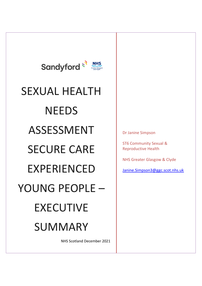

# SEXUAL HEALTH **NEEDS** ASSESSMENT SECURE CARE EXPERIENCED YOUNG PEOPLE – EXECUTIVE SUMMARY

NHS Scotland December 2021

Dr Janine Simpson

ST6 Community Sexual & Reproductive Health

NHS Greater Glasgow & Clyde

[Janine.Simpson3@ggc.scot.nhs.uk](mailto:Janine.Simpson3@ggc.scot.nhs.uk)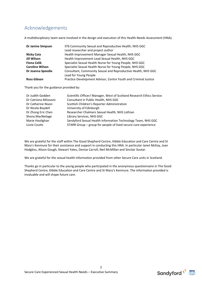# Acknowledgements

A multidisciplinary team were involved in the design and execution of this Health Needs Assessment (HNA).

| <b>Dr Janine Simpson</b> | ST6 Community Sexual and Reproductive Health, NHS GGC           |
|--------------------------|-----------------------------------------------------------------|
|                          | Lead researcher and project author                              |
| Nicky Coia               | Health Improvement Manager Sexual Health, NHS GGC               |
| Jill Wilson              | Health Improvement Lead Sexual Health, NHS GGC                  |
| <b>Fiona Celik</b>       | Specialist Sexual Health Nurse for Young People, NHS GGC        |
| <b>Caroline Wilson</b>   | Specialist Sexual Health Nurse for Young People, NHS GGC        |
| Dr Joanna Speedie        | Consultant, Community Sexual and Reproductive Health, NHS GGC   |
|                          | Lead for Young People                                           |
| <b>Ross Gibson</b>       | Practice Development Advisor, Centre Youth and Criminal Justice |

Thank you for the guidance provided by:

| Dr Judith Godden      | Scientific Officer/ Manager, West of Scotland Research Ethics Service |
|-----------------------|-----------------------------------------------------------------------|
| Dr Catriona Milosevic | Consultant in Public Health, NHS GGC                                  |
| Dr Catherine Nixon    | Scottish Children's Reporter Administration                           |
| Dr Nicola Boydell     | University of Edinburgh                                               |
| Dr Zhong Eric Chen    | Researcher Chalmers Sexual Health, NHS Lothian                        |
| Shona MacNeilage      | Library Services, NHS GGC                                             |
| Marie Hoolighan       | Sandyford Sexual Health Information Technology Team, NHS GGC          |
| Lizzie Coutts         | STARR Group – group for people of lived secure-care experience        |

We are grateful for the staff within The Good Shepherd Centre, Kibble Education and Care Centre and St Mary's Kenmure for their assistance and support in conducting this HNA. In particular Janet McKay, Joan Hodgkiss, Alison Gough, Stewart Yates, Denise Carroll, Neil McMillan and Sinclair Soutar.

We are grateful for the sexual health information provided from other Secure Care units in Scotland.

Thanks go in particular to the young people who participated in the anonymous questionnaire in The Good Shepherd Centre, Kibble Education and Care Centre and St Mary's Kenmure. The information provided is invaluable and will shape future care.

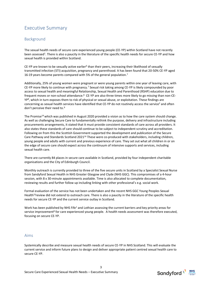# Executive Summary

## Background

The sexual health needs of secure care experienced young people (CE-YP) within Scotland have not recently been assessed<sup>1</sup>. There is also a paucity in the literature of the specific health needs for secure CE-YP and how sexual health is provided within Scotland.

CE-YP are known to be sexually active earlier<sup>6</sup> than their peers, increasing their likelihood of sexually transmitted infection (STI) acquisition, pregnancy and parenthood. It has been found that 20-50% CE-YP aged 16-19 years become parents compared with 5% of the general population.<sup>7</sup>

Additionally, 25% of young women were pregnant or were young parents within one year of leaving care, with CE-YP more likely to continue with pregnancy.<sup>7</sup> Sexual risk taking among CE-YP is likely compounded by poor access to sexual health and meaningful Relationship, Sexual Health and Parenthood (RSHP) education due to frequent moves or non-school attendance.<sup>8</sup> CE-YP are also three times more likely to go missing than non-CE-YP<sup>8</sup> , which in turn exposes them to risk of physical or sexual abuse, or exploitation. These findings are concerning as sexual health services have identified that CE-YP do not routinely access the service<sup>2</sup> and often don't perceive their need to.<sup>9</sup>

The Promise<sup>14</sup> which was published in August 2020 provided a vision as to how the care system should change. As well as challenging Secure Care to fundamentally rethink the purpose, delivery and infrastructure including procurements arrangements, it stated that it must provide consistent standards of care across all providers. It also states these standards of care should continue to be subject to independent scrutiny and accreditation. Following on from this the Scottish Government supported the development and publication of the Secure Care Pathway and Standards Scotland 2021<sup>16</sup> These were co-produced with stakeholders, including children, young people and adults with current and previous experience of care. They set out what all children in or on the edge of secure care should expect across the continuum of intensive supports and services, including sexual health care.

There are currently 84 places in secure care available in Scotland, provided by four independent charitable organisations and the City of Edinburgh Council.

Monthly outreach is currently provided to three of the five secure units in Scotland by a Specialist Sexual Nurse from Sandyford Sexual Health in NHS Greater Glasgow and Clyde (NHS GGC). This compromises of a 4-hour session, with 8 x 30-minute appointments available. Time is also allocated to complete documentation, reviewing results and further follow up including linking with other professional's e.g. social work.

Formal evaluation of the service has not been undertaken and the recent NHS GGC Young Peoples Sexual Health<sup>23</sup>review did not extend to outreach care. There is also a paucity in the literature of the specific health needs for secure CE-YP and the current service outlay in Scotland.

Work has been published by NHS Fife<sup>1</sup> and Lothian assessing the current barriers and key priority areas for service improvement<sup>8</sup> for care experienced young people. A health needs assessment was therefore executed, focusing on secure CE-YP.

#### Aims

Systemically describe and measure sexual health needs of secure CE-YP in NHS Scotland. This will evaluate the current service and inform future plans to design and deliver appropriate patient centred sexual health care to secure CE-YP.

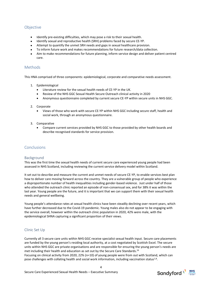## Objective

- Identify pre-existing difficulties, which may pose a risk to their sexual health.
- Identify sexual and reproductive health (SRH) problems faced by secure CE-YP.
- Attempt to quantify the unmet SRH needs and gaps in sexual healthcare provision.
- To inform future work and makes recommendations for future research/data collection.
- Aim to make recommendations for future planning, inform service design and deliver patient centred care.

### Methods

This HNA comprised of three components: epidemiological, corporate and comparative needs assessment.

- 1. Epidemiological
	- Literature review for the sexual health needs of CE-YP in the UK.
	- Review of the NHS GGC Sexual Health Secure Outreach clinical activity in 2020
	- Anonymous questionnaire completed by current secure CE-YP within secure units in NHS GGC.
- 2. Corporate
	- Views of those who work with secure CE-YP within NHS GGC including secure staff, health and social work, through an anonymous questionnaire.
- 3. Comparative
	- Compare current services provided by NHS GGC to those provided by other health boards and describe recognised standards for service provision.

#### Conclusions

#### Background

This was the first time the sexual health needs of current secure care experienced young people had been assessed in NHS Scotland, including reviewing the current service delivery model within Scotland.

It set out to describe and measure the current and unmet needs of secure CE-YP, to enable services best plan how to deliver care moving forward across the country. They are a vulnerable group of people who experience a disproportionate number of health inequalities including gender-based violence. Just under half of those who attended the outreach clinic reported an episode of non-consensual sex, and for 38% it was within the last year. Young people are the future, and it is important that we can support them with their sexual health needs and general wellbeing.

Young people's attendance rates at sexual health clinics have been steadily declining over recent years, which have further decreased due to the Covid-19 pandemic. Young males also do not appear to be engaging with the service overall, however within the outreach clinic population in 2020, 42% were male, with the epidemiological SHNA capturing a significant proportion of their views.

#### Clinic Set Up

Currently all 3 secure care units within NHS GGC receive specialist sexual health input. Secure care placements are funded by the young person's residing local authority, at a cost negotiated by Scottish Excel. The secure units within NHS GGC are private organisations and are responsible for ensuring the young person's needs are met including their health and education as set out by the Secure Care Standards. 16 Focusing on clinical activity from 2020, 22% (n=10) of young people were from out with Scotland, which can pose challenges with collating health and social work information, including vaccination status<sup>1,8</sup>.

Secure Care Experienced Sexual Health Needs – Executive Summary

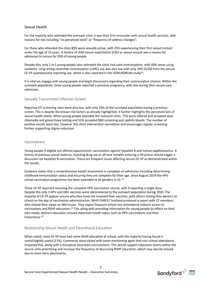#### Sexual Health

For the majority who attended the outreach clinic it was their first encounter with sexual health services, with reasons for not including "no perceived need" or "frequency of address changes".

For those who attended the clinic 89% were sexually active, with 25% experiencing their first sexual contact under the age of 13 years. A history of child sexual exploitation (CSE) or sexual assault was a reason for admission to secure for 29% of young people.

Despite this, only 1 in 5 young people who attended the clinic had used contraception, with 40% never using condoms. Long-acting reversible contraception (LARC) use was also low with only 19% (5/26) from the secure CE-YP questionnaire reporting use, which is also reported in the CONUNDRUM study<sup>24</sup>.

It is vital we engage with young people and begin discussions regarding their contraceptive choices. Within the outreach population, three young people reported a previous pregnancy, with one during their secure care admission.

#### Sexually Transmitted Infection Screen

Reported STI screening rates were also low, with only 35% of the surveyed population having a previous screen. This is despite the known risk factors as already highlighted. It further highlights the perceived lack of sexual health needs. When young people attended the outreach clinic, 75% were offered and accepted dual chlamydia and gonorrhoea testing and 55% accepted BBV screening and syphilis bloods. The number of positive results were low, however this short intervention normalises and encourages regular screening further supporting stigma reduction.

#### Vaccinations

Young people if eligible are offered opportunistic vaccinations against hepatitis B and human papillomavirus. A history of previous sexual violence, injecting drug use or all new inmates entering a UK prison should trigger a discussion for hepatitis B vaccination. These are frequent issues affecting secure CE-YP as demonstrated within the results.

Guidance states that a comprehensive health assessment is complete on admission including determining childhood immunisation status and ensuring they are complete for their age. Since August 2019 the HPV school vaccination programme has been extended to all genders in S1.<sup>19</sup>

Three CE-YP reported receiving the complete HPV vaccination course, with 6 reporting a single dose. Despite this only 3 HPV and HBV vaccines were administered to the outreach population during 2020. The majority of CE-YP appear unsure why they have not received their vaccines, with others stating they weren't at school on the day of vaccination administration. WHO CARES? Scotland produced a report with CE members who shared their views on SRH issues. They report frequent school non-attendance reduces access to vaccinations and RSHP education.<sup>25</sup> This along with providing information for young people to reflect on their own needs, delivers education around important health topics such as HPV vaccinations and their importance.<sup>25</sup>

#### Relationship Sexual Health and Parenthood Education

When asked, most CE-YP have had some RSHP education at school, with the majority having found it useful/slightly useful (27%). Comments were varied with some mentioning again that non-school attendance impacted this, along with a disruptive classroom environment. This would support education teams within the secure units prioritising and increase the frequency of discussing RSHP education, which may also be missed due to short-term placements.

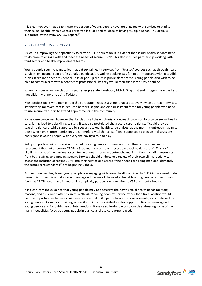It is clear however that a significant proportion of young people have not engaged with services related to their sexual health, often due to a perceived lack of need to, despite having multiple needs. This again is supported by the WHO CARES? report.<sup>25</sup>

#### Engaging with Young People

As well as improving the opportunity to provide RSHP education, it is evident that sexual health services need to do more to engage with and meet the needs of secure CE-YP. This also includes partnership working with third sector and health improvement teams.

Young people seem to want to learn about sexual health services from 'trusted' sources such as through health services, online and from professionals e.g. education. Online booking was felt to be important, with accessible clinics in secure or near residential units or pop-up clinics in public places rated. Young people also wish to be able to communicate with a healthcare professional like they would their friends via SMS or online.

When considering online platforms young people state Facebook, TikTok, Snapchat and Instagram are the best modalities, with no-one using Twitter.

Most professionals who took part in the corporate needs assessment had a positive view on outreach services, stating they improved access, reduced barriers, stigma and embarrassment faced for young people who need to use secure transport to attend appointments in the community.

Some were concerned however that by placing all the emphasis on outreach provision to provide sexual health care, it may lead to a deskilling to staff. It was also postulated that secure care health staff could provide sexual health care, while supported by specialist sexual health care services, as the monthly outreach may miss those who have shorter admissions. It is therefore vital that all staff feel supported to engage in discussions and signpost young people, with everyone having a role to play

Policy supports a uniform service provided to young people. It is evident from the comparative needs assessment that not all secure CE-YP in Scotland have outreach access to sexual health care.<sup>1, 8</sup> This HNA highlights some of the barriers associated with not introducing outreach, and limitations including resources from both staffing and funding stream. Services should undertake a review of their own clinical activity to assess the inclusion of secure CE-YP into their service and assess if their needs are being met, and ultimately the secure care standards $16$  are beginning upheld.

As mentioned earlier, fewer young people are engaging with sexual health services. In NHS GGC we need to do more to improve this and do more to engage with some of the most vulnerable young people. Professionals feel that CE-YP needs have increased in complexity particularly in relation to CSE and mental health.

It is clear from the evidence that young people may not perceive their own sexual health needs for many reasons, and thus won't attend clinics. A "flexible" young people's service rather than fixed location would provide opportunities to have clinics near residential units, public locations or near events, as is preferred by young people. As well as providing access it also improves visibility, offers opportunities to re-engage with young people and for public health interventions. It may also begin to work towards addressing some of the many inequalities faced by young people in particular those care experienced.

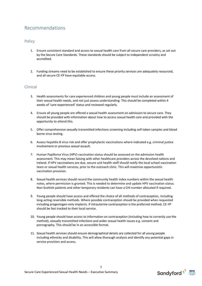# Recommendations

#### **Policy**

- 1. Ensure consistent standard and access to sexual health care from all secure care providers, as set out by the Secure Care Standards. These standards should be subject to independent scrutiny and accredited.
- 2. Funding streams need to be established to ensure these priority services are adequately resourced, and all secure CE-YP have equitable access.

#### Clinical

- 3. Health assessments for care experienced children and young people must include an assessment of their sexual health needs, and not just assess understanding. This should be completed within 4 weeks of 'care-experienced' status and reviewed regularly.
- 4. Ensure all young people are offered a sexual health assessment on admission to secure care. They should be provided with information about how to access sexual health care and provided with the opportunity to attend this.
- 5. Offer comprehensive sexually transmitted infections screening including self-taken samples and blood borne virus testing.
- 6. Assess hepatitis B virus risk and offer prophylactic vaccinations where indicated e.g. criminal justice involvement or previous sexual assault.
- 7. Human Papilloma Virus (HPV) vaccination status should be assessed on the admission health assessment. This may mean liaising with other healthcare providers across the devolved nations and Ireland. If HPV vaccinations are due, secure unit health staff should notify the local school vaccination team or sexual health services, prior to the outreach clinic. This will maximise opportunistic vaccination provision.
- 8. Sexual health services should record the community health index numbers within the sexual health notes, where permission is granted. This is needed to determine and update HPV vaccination status. Non-Scottish patients and other temporary residents can have a CHI number allocated if required.
- 9. Young people should have access and offered the choice of all methods of contraception, including long-acting reversible methods. Where possible contraception should be provided when requested including progestogen-only implants. If intrauterine contraception is the preferred method, CE-YP should be fast tracked to their local service.
- 10. Young people should have access to information on contraception (including how to correctly use the method), sexually transmitted infections and wider sexual health issues e.g. consent and pornography. This should be in an accessible format.
- 11. Sexual health services should ensure demographical details are collected for all young people including ethnicity and disability. This will allow thorough analysis and identify any potential gaps in service provision and access.

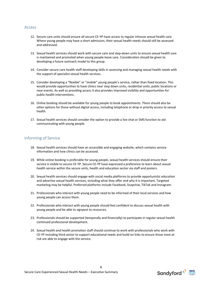#### Access

- 12. Secure care units should ensure all secure CE-YP have access to regular inhouse sexual health care. Where young people may have a short admission, their sexual health needs should still be assessed and addressed.
- 13. Sexual health services should work with secure care and step-down units to ensure sexual health care is maintained and promoted when young people leave care. Consideration should be given to developing a future outreach model to this group.
- 14. Consider secure care health staff developing skills in assessing and managing sexual health needs with the support of specialist sexual health services.
- 15. Consider developing a "flexible" or "*mobile*" young people's service, rather than fixed location. This would provide opportunities to have clinics near step down units, residential units, public locations or near events. As well as providing access it also provides improved visibility and opportunities for public health interventions.
- 16. Online booking should be available for young people to book appointments. There should also be other options for those without digital access, including telephone or drop in priority access to sexual health.
- 17. Sexual health services should consider the option to provide a live chat or SMS function to aid communicating with young people.

#### Informing of Service

- 18. Sexual health services should have an accessible and engaging website, which contains service information and how clinics can be accessed.
- 19. While online booking is preferable for young people, sexual health services should ensure their service is visible to secure CE-YP. Secure CE-YP have expressed a preference to learn about sexual health service within the secure units, health and education sector via staff and posters.
- 20. Sexual health services should engage with social media platforms to provide opportunistic education and advertise sexual health services, including what they offer and why it is important. Targeted marketing may be helpful. Preferred platforms include Facebook, Snapchat, TikTok and Instagram.
- 21. Professionals who interact with young people need to be informed of their local services and how young people can access them.
- 22. Professionals who interact with young people should feel confident to discuss sexual health with young people and be able to signpost to resources.
- 23. Professionals should be supported (temporally and financially) to participate in regular sexual health continued professional development.
- 24. Sexual health and health promotion staff should continue to work with professionals who work with CE-YP including third sector to support educational needs and build on links to ensure those most at risk are able to engage with the service.